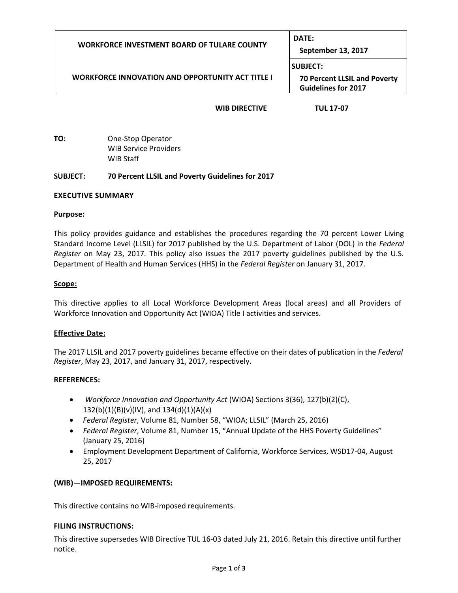| <b>WORKFORCE INVESTMENT BOARD OF TULARE COUNTY</b>      | DATE:<br>September 13, 2017                                                          |
|---------------------------------------------------------|--------------------------------------------------------------------------------------|
| <b>WORKFORCE INNOVATION AND OPPORTUNITY ACT TITLE I</b> | <b>SUBJECT:</b><br><b>70 Percent LLSIL and Poverty</b><br><b>Guidelines for 2017</b> |
| <b>WIB DIRECTIVE</b>                                    | <b>TUL 17-07</b>                                                                     |

**TO:** One-Stop Operator WIB Service Providers WIB Staff

## **SUBJECT: 70 Percent LLSIL and Poverty Guidelines for 2017**

## **EXECUTIVE SUMMARY**

#### **Purpose:**

This policy provides guidance and establishes the procedures regarding the 70 percent Lower Living Standard Income Level (LLSIL) for 2017 published by the U.S. Department of Labor (DOL) in the *Federal Register* on May 23, 2017. This policy also issues the 2017 poverty guidelines published by the U.S. Department of Health and Human Services (HHS) in the *Federal Register* on January 31, 2017.

## **Scope:**

This directive applies to all Local Workforce Development Areas (local areas) and all Providers of Workforce Innovation and Opportunity Act (WIOA) Title I activities and services.

# **Effective Date:**

The 2017 LLSIL and 2017 poverty guidelines became effective on their dates of publication in the *Federal Register*, May 23, 2017, and January 31, 2017, respectively.

#### **REFERENCES:**

- *Workforce Innovation and Opportunity Act* (WIOA) Sections 3(36), 127(b)(2)(C),  $132(b)(1)(B)(v)(IV)$ , and  $134(d)(1)(A)(x)$
- *Federal Register*, Volume 81, Number 58, "WIOA; LLSIL" (March 25, 2016)
- *Federal Register*, Volume 81, Number 15, "Annual Update of the HHS Poverty Guidelines" (January 25, 2016)
- Employment Development Department of California, Workforce Services, WSD17-04, August 25, 2017

# **(WIB)—IMPOSED REQUIREMENTS:**

This directive contains no WIB-imposed requirements.

#### **FILING INSTRUCTIONS:**

This directive supersedes WIB Directive TUL 16-03 dated July 21, 2016. Retain this directive until further notice.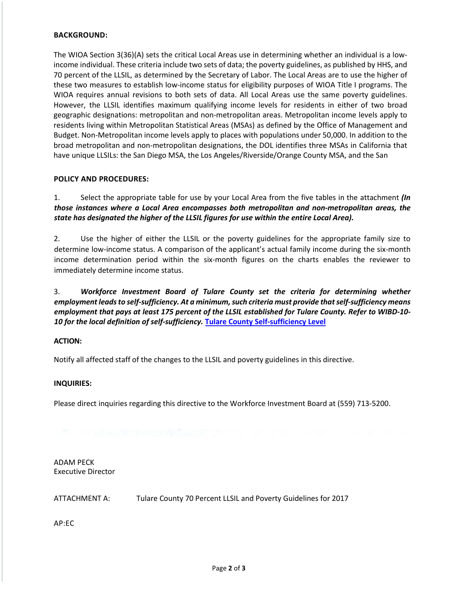# **BACKGROUND:**

The WIOA Section 3(36)(A) sets the critical Local Areas use in determining whether an individual is a lowincome individual. These criteria include two sets of data; the poverty guidelines, as published by HHS, and 70 percent of the LLSIL, as determined by the Secretary of Labor. The Local Areas are to use the higher of these two measures to establish low-income status for eligibility purposes of WIOA Title I programs. The WIOA requires annual revisions to both sets of data. All Local Areas use the same poverty guidelines. However, the LLSIL identifies maximum qualifying income levels for residents in either of two broad geographic designations: metropolitan and non-metropolitan areas. Metropolitan income levels apply to residents living within Metropolitan Statistical Areas (MSAs) as defined by the Office of Management and Budget. Non-Metropolitan income levels apply to places with populations under 50,000. In addition to the broad metropolitan and non-metropolitan designations, the DOL identifies three MSAs in California that have unique LLSILs: the San Diego MSA, the Los Angeles/Riverside/Orange County MSA, and the San

## **POLICY AND PROCEDURES:**

1. Select the appropriate table for use by your Local Area from the five tables in the attachment *(In those instances where a Local Area encompasses both metropolitan and non-metropolitan areas, the state has designated the higher of the LLSIL figures for use within the entire Local Area).* 

2. Use the higher of either the LLSIL or the poverty guidelines for the appropriate family size to determine low-income status. A comparison of the applicant's actual family income during the six-month income determination period within the six-month figures on the charts enables the reviewer to immediately determine income status.

3. *Workforce Investment Board of Tulare County set the criteria for determining whether employment leads to self-sufficiency. At a minimum, such criteria must provide that self-sufficiency means employment that pays at least 175 percent of the LLSIL established for Tulare County. Refer to WIBD-10- 10 for the local definition of self-sufficiency.* **[Tulare County Self-sufficiency Level](http://www.tularewib.org/LocalActiveDirectives.asp)**

#### **ACTION:**

Notify all affected staff of the changes to the LLSIL and poverty guidelines in this directive.

#### **INQUIRIES:**

Please direct inquiries regarding this directive to the Workforce Investment Board at (559) 713-5200.

ADAM PECK Executive Director

ATTACHMENT A: Tulare County 70 Percent LLSIL and Poverty Guidelines for 2017

AP:EC